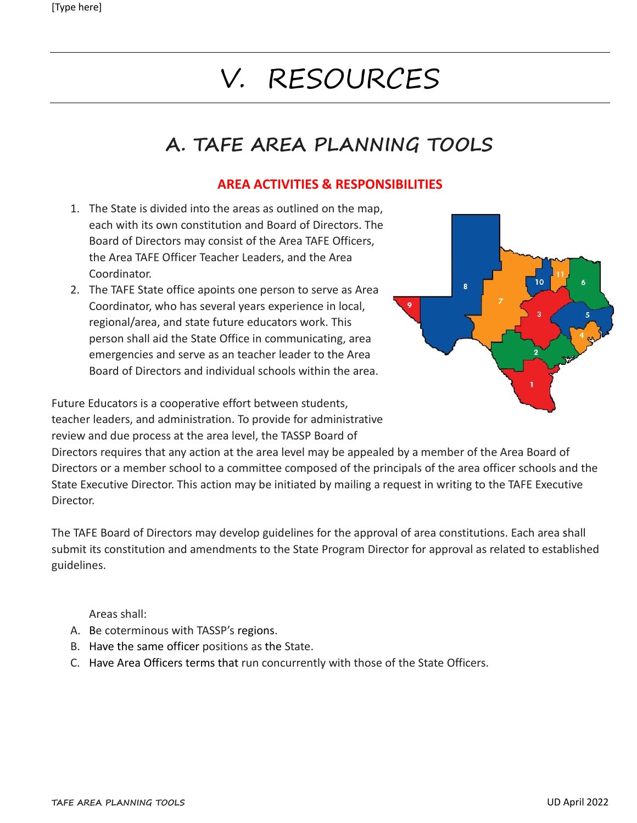# V. RESOURCES

# **A. TAFE AREA PLANNING TOOLS**

### **AREA ACTIVITIES & RESPONSIBILITIES**

- 1. The State is divided into the areas as outlined on the map, each with its own constitution and Board of Directors. The Board of Directors may consist of the Area TAFE Officers, the Area TAFE Officer Teacher Leaders, and the Area Coordinator.
- 2. The TAFE State office apoints one person to serve as Area Coordinator, who has several years experience in local, regional/area, and state future educators work. This person shall aid the State Office in communicating, area emergencies and serve as an teacher leader to the Area Board of Directors and individual schools within the area.



Future Educators is a cooperative effort between students, teacher leaders, and administration. To provide for administrative review and due process at the area level, the TASSP Board of

Directors requires that any action at the area level may be appealed by a member of the Area Board of Directors or a member school to a committee composed of the principals of the area officer schools and the State Executive Director. This action may be initiated by mailing a request in writing to the TAFE Executive Director.

The TAFE Board of Directors may develop guidelines for the approval of area constitutions. Each area shall submit its constitution and amendments to the State Program Director for approval as related to established guidelines.

Areas shall:

- A. Be coterminous with TASSP's regions.
- B. Have the same officer positions as the State.
- C. Have Area Officers terms that run concurrently with those of the State Officers.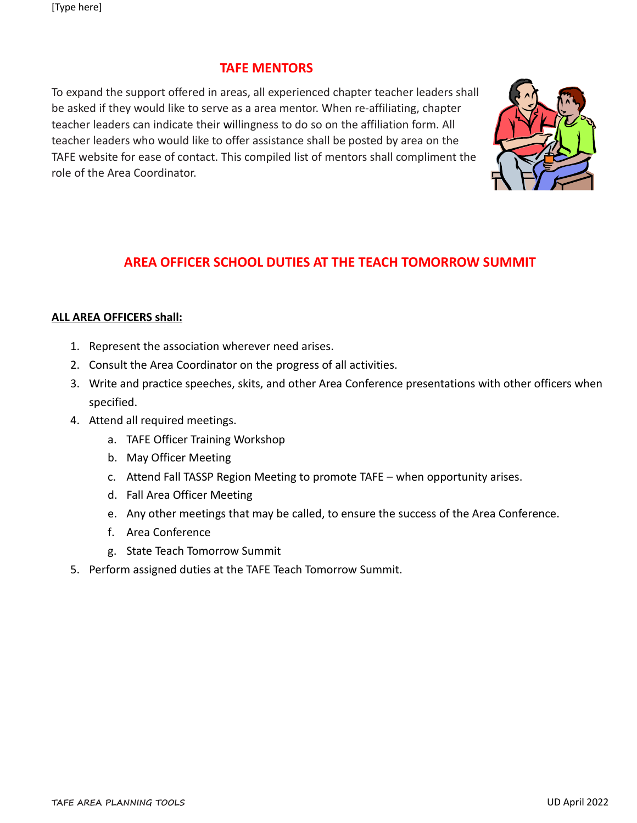#### **TAFE MENTORS**

To expand the support offered in areas, all experienced chapter teacher leaders shall be asked if they would like to serve as a area mentor. When re-affiliating, chapter teacher leaders can indicate their willingness to do so on the affiliation form. All teacher leaders who would like to offer assistance shall be posted by area on the TAFE website for ease of contact. This compiled list of mentors shall compliment the role of the Area Coordinator.



## **AREA OFFICER SCHOOL DUTIES AT THE TEACH TOMORROW SUMMIT**

#### **ALL AREA OFFICERS shall:**

- 1. Represent the association wherever need arises.
- 2. Consult the Area Coordinator on the progress of all activities.
- 3. Write and practice speeches, skits, and other Area Conference presentations with other officers when specified.
- 4. Attend all required meetings.
	- a. TAFE Officer Training Workshop
	- b. May Officer Meeting
	- c. Attend Fall TASSP Region Meeting to promote TAFE when opportunity arises.
	- d. Fall Area Officer Meeting
	- e. Any other meetings that may be called, to ensure the success of the Area Conference.
	- f. Area Conference
	- g. State Teach Tomorrow Summit
- 5. Perform assigned duties at the TAFE Teach Tomorrow Summit.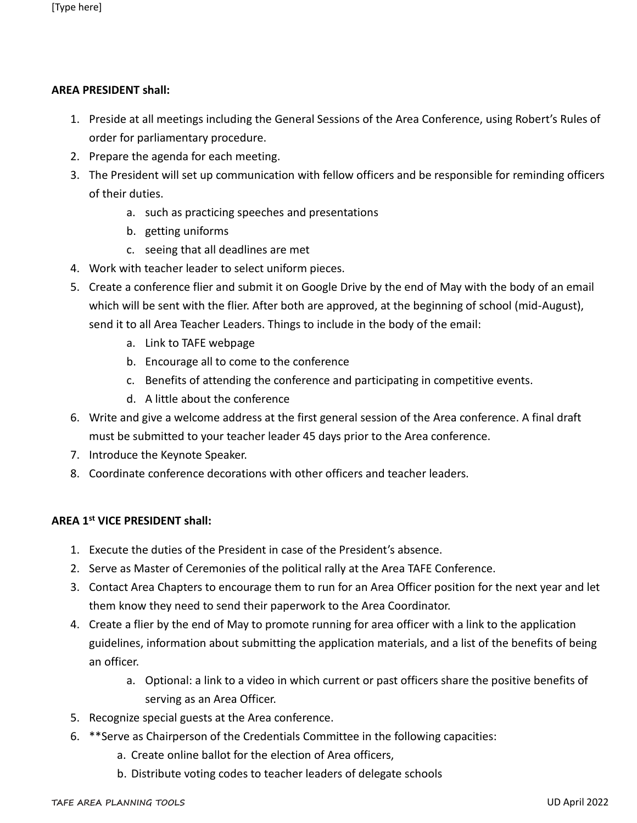#### **AREA PRESIDENT shall:**

- 1. Preside at all meetings including the General Sessions of the Area Conference, using Robert's Rules of order for parliamentary procedure.
- 2. Prepare the agenda for each meeting.
- 3. The President will set up communication with fellow officers and be responsible for reminding officers of their duties.
	- a. such as practicing speeches and presentations
	- b. getting uniforms
	- c. seeing that all deadlines are met
- 4. Work with teacher leader to select uniform pieces.
- 5. Create a conference flier and submit it on Google Drive by the end of May with the body of an email which will be sent with the flier. After both are approved, at the beginning of school (mid-August), send it to all Area Teacher Leaders. Things to include in the body of the email:
	- a. Link to TAFE webpage
	- b. Encourage all to come to the conference
	- c. Benefits of attending the conference and participating in competitive events.
	- d. A little about the conference
- 6. Write and give a welcome address at the first general session of the Area conference. A final draft must be submitted to your teacher leader 45 days prior to the Area conference.
- 7. Introduce the Keynote Speaker.
- 8. Coordinate conference decorations with other officers and teacher leaders.

#### **AREA 1st VICE PRESIDENT shall:**

- 1. Execute the duties of the President in case of the President's absence.
- 2. Serve as Master of Ceremonies of the political rally at the Area TAFE Conference.
- 3. Contact Area Chapters to encourage them to run for an Area Officer position for the next year and let them know they need to send their paperwork to the Area Coordinator.
- 4. Create a flier by the end of May to promote running for area officer with a link to the application guidelines, information about submitting the application materials, and a list of the benefits of being an officer.
	- a. Optional: a link to a video in which current or past officers share the positive benefits of serving as an Area Officer.
- 5. Recognize special guests at the Area conference.
- 6. \*\*Serve as Chairperson of the Credentials Committee in the following capacities:
	- a. Create online ballot for the election of Area officers,
	- b. Distribute voting codes to teacher leaders of delegate schools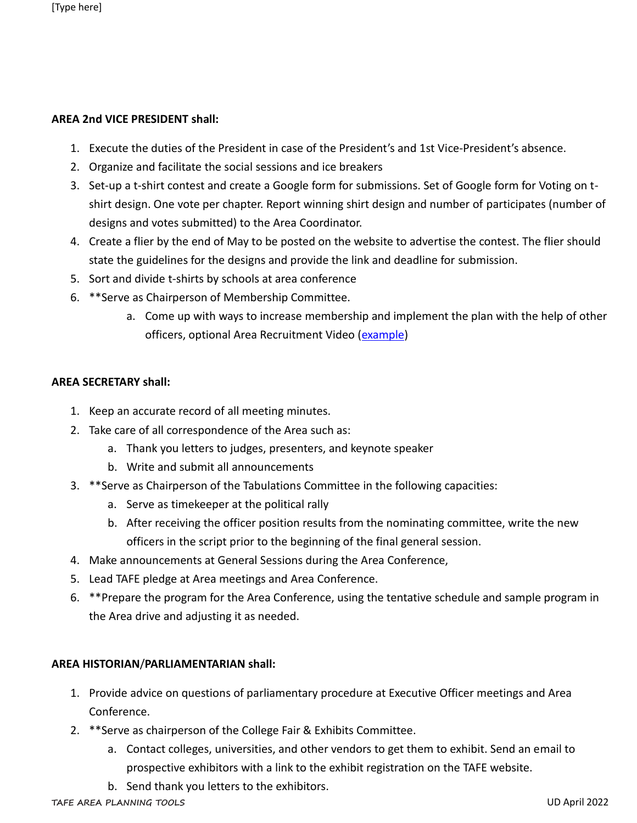#### **AREA 2nd VICE PRESIDENT shall:**

- 1. Execute the duties of the President in case of the President's and 1st Vice-President's absence.
- 2. Organize and facilitate the social sessions and ice breakers
- 3. Set-up a t-shirt contest and create a Google form for submissions. Set of Google form for Voting on tshirt design. One vote per chapter. Report winning shirt design and number of participates (number of designs and votes submitted) to the Area Coordinator.
- 4. Create a flier by the end of May to be posted on the website to advertise the contest. The flier should state the guidelines for the designs and provide the link and deadline for submission.
- 5. Sort and divide t-shirts by schools at area conference
- 6. \*\*Serve as Chairperson of Membership Committee.
	- a. Come up with ways to increase membership and implement the plan with the help of other officers, optional Area Recruitment Video [\(example\)](https://www.dropbox.com/s/nt2sxz3n8sizpz2/Welcome%20to%20Region%2013_1.mp4?dl=0)

#### **AREA SECRETARY shall:**

- 1. Keep an accurate record of all meeting minutes.
- 2. Take care of all correspondence of the Area such as:
	- a. Thank you letters to judges, presenters, and keynote speaker
	- b. Write and submit all announcements
- 3. \*\*Serve as Chairperson of the Tabulations Committee in the following capacities:
	- a. Serve as timekeeper at the political rally
	- b. After receiving the officer position results from the nominating committee, write the new officers in the script prior to the beginning of the final general session.
- 4. Make announcements at General Sessions during the Area Conference,
- 5. Lead TAFE pledge at Area meetings and Area Conference.
- 6. \*\*Prepare the program for the Area Conference, using the tentative schedule and sample program in the Area drive and adjusting it as needed.

#### **AREA HISTORIAN**/**PARLIAMENTARIAN shall:**

- 1. Provide advice on questions of parliamentary procedure at Executive Officer meetings and Area Conference.
- 2. \*\*Serve as chairperson of the College Fair & Exhibits Committee.
	- a. Contact colleges, universities, and other vendors to get them to exhibit. Send an email to prospective exhibitors with a link to the exhibit registration on the TAFE website.
	- b. Send thank you letters to the exhibitors.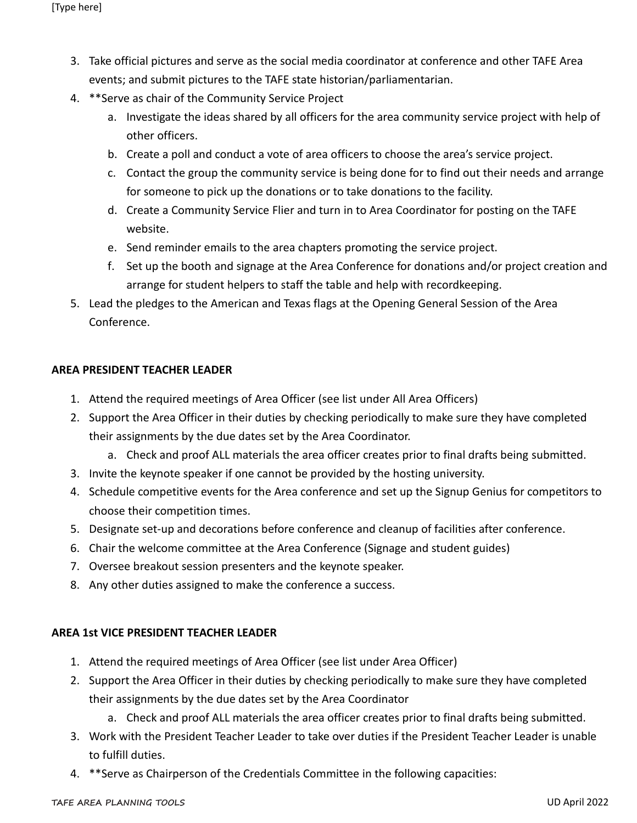- 3. Take official pictures and serve as the social media coordinator at conference and other TAFE Area events; and submit pictures to the TAFE state historian/parliamentarian.
- 4. \*\*Serve as chair of the Community Service Project
	- a. Investigate the ideas shared by all officers for the area community service project with help of other officers.
	- b. Create a poll and conduct a vote of area officers to choose the area's service project.
	- c. Contact the group the community service is being done for to find out their needs and arrange for someone to pick up the donations or to take donations to the facility.
	- d. Create a Community Service Flier and turn in to Area Coordinator for posting on the TAFE website.
	- e. Send reminder emails to the area chapters promoting the service project.
	- f. Set up the booth and signage at the Area Conference for donations and/or project creation and arrange for student helpers to staff the table and help with recordkeeping.
- 5. Lead the pledges to the American and Texas flags at the Opening General Session of the Area Conference.

#### **AREA PRESIDENT TEACHER LEADER**

- 1. Attend the required meetings of Area Officer (see list under All Area Officers)
- 2. Support the Area Officer in their duties by checking periodically to make sure they have completed their assignments by the due dates set by the Area Coordinator.
	- a. Check and proof ALL materials the area officer creates prior to final drafts being submitted.
- 3. Invite the keynote speaker if one cannot be provided by the hosting university.
- 4. Schedule competitive events for the Area conference and set up the Signup Genius for competitors to choose their competition times.
- 5. Designate set-up and decorations before conference and cleanup of facilities after conference.
- 6. Chair the welcome committee at the Area Conference (Signage and student guides)
- 7. Oversee breakout session presenters and the keynote speaker.
- 8. Any other duties assigned to make the conference a success.

#### **AREA 1st VICE PRESIDENT TEACHER LEADER**

- 1. Attend the required meetings of Area Officer (see list under Area Officer)
- 2. Support the Area Officer in their duties by checking periodically to make sure they have completed their assignments by the due dates set by the Area Coordinator
	- a. Check and proof ALL materials the area officer creates prior to final drafts being submitted.
- 3. Work with the President Teacher Leader to take over duties if the President Teacher Leader is unable to fulfill duties.
- 4. \*\*Serve as Chairperson of the Credentials Committee in the following capacities: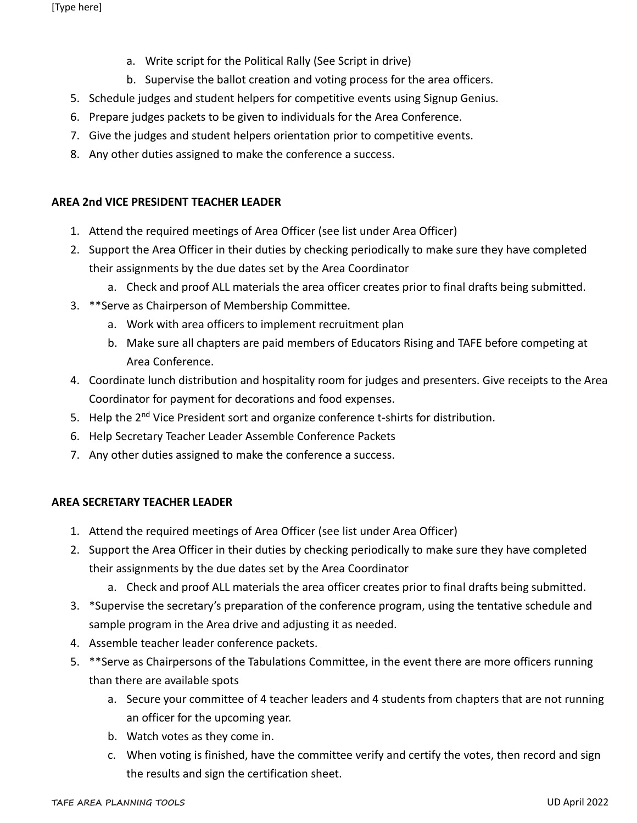- a. Write script for the Political Rally (See Script in drive)
- b. Supervise the ballot creation and voting process for the area officers.
- 5. Schedule judges and student helpers for competitive events using Signup Genius.
- 6. Prepare judges packets to be given to individuals for the Area Conference.
- 7. Give the judges and student helpers orientation prior to competitive events.
- 8. Any other duties assigned to make the conference a success.

#### **AREA 2nd VICE PRESIDENT TEACHER LEADER**

- 1. Attend the required meetings of Area Officer (see list under Area Officer)
- 2. Support the Area Officer in their duties by checking periodically to make sure they have completed their assignments by the due dates set by the Area Coordinator
	- a. Check and proof ALL materials the area officer creates prior to final drafts being submitted.
- 3. \*\*Serve as Chairperson of Membership Committee.
	- a. Work with area officers to implement recruitment plan
	- b. Make sure all chapters are paid members of Educators Rising and TAFE before competing at Area Conference.
- 4. Coordinate lunch distribution and hospitality room for judges and presenters. Give receipts to the Area Coordinator for payment for decorations and food expenses.
- 5. Help the 2<sup>nd</sup> Vice President sort and organize conference t-shirts for distribution.
- 6. Help Secretary Teacher Leader Assemble Conference Packets
- 7. Any other duties assigned to make the conference a success.

#### **AREA SECRETARY TEACHER LEADER**

- 1. Attend the required meetings of Area Officer (see list under Area Officer)
- 2. Support the Area Officer in their duties by checking periodically to make sure they have completed their assignments by the due dates set by the Area Coordinator
	- a. Check and proof ALL materials the area officer creates prior to final drafts being submitted.
- 3. \*Supervise the secretary's preparation of the conference program, using the tentative schedule and sample program in the Area drive and adjusting it as needed.
- 4. Assemble teacher leader conference packets.
- 5. \*\*Serve as Chairpersons of the Tabulations Committee, in the event there are more officers running than there are available spots
	- a. Secure your committee of 4 teacher leaders and 4 students from chapters that are not running an officer for the upcoming year.
	- b. Watch votes as they come in.
	- c. When voting is finished, have the committee verify and certify the votes, then record and sign the results and sign the certification sheet.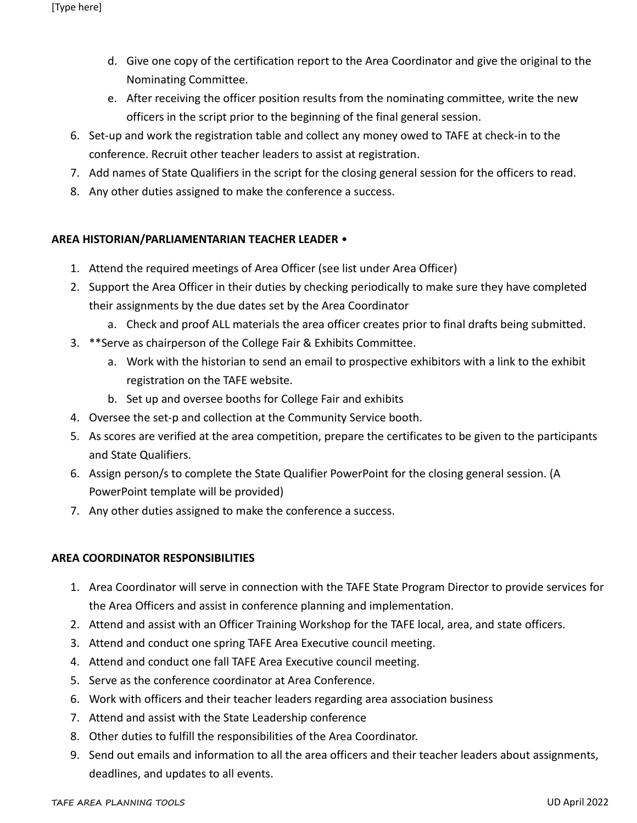- d. Give one copy of the certification report to the Area Coordinator and give the original to the Nominating Committee.
- e. After receiving the officer position results from the nominating committee, write the new officers in the script prior to the beginning of the final general session.
- 6. Set-up and work the registration table and collect any money owed to TAFE at check-in to the conference. Recruit other teacher leaders to assist at registration.
- 7. Add names of State Qualifiers in the script for the closing general session for the officers to read.
- 8. Any other duties assigned to make the conference a success.

#### **AREA HISTORIAN/PARLIAMENTARIAN TEACHER LEADER** •

- 1. Attend the required meetings of Area Officer (see list under Area Officer)
- 2. Support the Area Officer in their duties by checking periodically to make sure they have completed their assignments by the due dates set by the Area Coordinator
	- a. Check and proof ALL materials the area officer creates prior to final drafts being submitted.
- 3. \*\*Serve as chairperson of the College Fair & Exhibits Committee.
	- a. Work with the historian to send an email to prospective exhibitors with a link to the exhibit registration on the TAFE website.
	- b. Set up and oversee booths for College Fair and exhibits
- 4. Oversee the set-p and collection at the Community Service booth.
- 5. As scores are verified at the area competition, prepare the certificates to be given to the participants and State Qualifiers.
- 6. Assign person/s to complete the State Qualifier PowerPoint for the closing general session. (A PowerPoint template will be provided)
- 7. Any other duties assigned to make the conference a success.

#### **AREA COORDINATOR RESPONSIBILITIES**

- 1. Area Coordinator will serve in connection with the TAFE State Program Director to provide services for the Area Officers and assist in conference planning and implementation.
- 2. Attend and assist with an Officer Training Workshop for the TAFE local, area, and state officers.
- 3. Attend and conduct one spring TAFE Area Executive council meeting.
- 4. Attend and conduct one fall TAFE Area Executive council meeting.
- 5. Serve as the conference coordinator at Area Conference.
- 6. Work with officers and their teacher leaders regarding area association business
- 7. Attend and assist with the State Leadership conference
- 8. Other duties to fulfill the responsibilities of the Area Coordinator.
- 9. Send out emails and information to all the area officers and their teacher leaders about assignments, deadlines, and updates to all events.